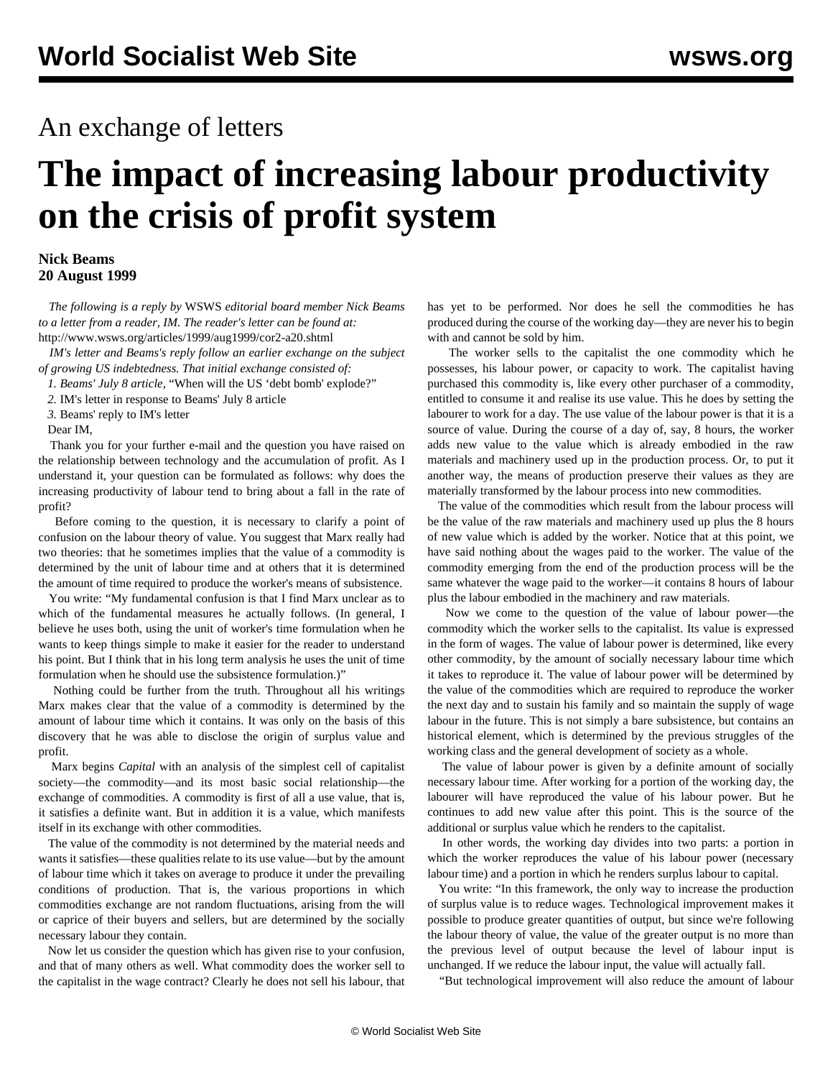## An exchange of letters

## **The impact of increasing labour productivity on the crisis of profit system**

## **Nick Beams 20 August 1999**

 *The following is a reply by* WSWS *editorial board member Nick Beams to a letter from a reader, IM. The reader's letter can be found at:* [http://www.wsws.org/articles/1999/aug1999/cor2-a20.shtml](cor2-a20.shtml)

 *IM's letter and Beams's reply follow an earlier exchange on the subject of growing US indebtedness. That initial exchange consisted of:*

*1. Beams' July 8 article,* ["When will the US 'debt bomb' explode?"](/en/articles/1999/jul1999/econ-j08.shtml)

*2.* [IM's letter in response to Beams' July 8 article](/en/articles/1999/jul1999/lett-j28.shtml)

*3.* [Beams' reply to IM's letter](/en/articles/1999/jul1999/eco-j28.shtml)

Dear IM,

 Thank you for your further e-mail and the question you have raised on the relationship between technology and the accumulation of profit. As I understand it, your question can be formulated as follows: why does the increasing productivity of labour tend to bring about a fall in the rate of profit?

 Before coming to the question, it is necessary to clarify a point of confusion on the labour theory of value. You suggest that Marx really had two theories: that he sometimes implies that the value of a commodity is determined by the unit of labour time and at others that it is determined the amount of time required to produce the worker's means of subsistence.

 You write: "My fundamental confusion is that I find Marx unclear as to which of the fundamental measures he actually follows. (In general, I believe he uses both, using the unit of worker's time formulation when he wants to keep things simple to make it easier for the reader to understand his point. But I think that in his long term analysis he uses the unit of time formulation when he should use the subsistence formulation.)"

 Nothing could be further from the truth. Throughout all his writings Marx makes clear that the value of a commodity is determined by the amount of labour time which it contains. It was only on the basis of this discovery that he was able to disclose the origin of surplus value and profit.

 Marx begins *Capital* with an analysis of the simplest cell of capitalist society—the commodity—and its most basic social relationship—the exchange of commodities. A commodity is first of all a use value, that is, it satisfies a definite want. But in addition it is a value, which manifests itself in its exchange with other commodities.

 The value of the commodity is not determined by the material needs and wants it satisfies—these qualities relate to its use value—but by the amount of labour time which it takes on average to produce it under the prevailing conditions of production. That is, the various proportions in which commodities exchange are not random fluctuations, arising from the will or caprice of their buyers and sellers, but are determined by the socially necessary labour they contain.

 Now let us consider the question which has given rise to your confusion, and that of many others as well. What commodity does the worker sell to the capitalist in the wage contract? Clearly he does not sell his labour, that has yet to be performed. Nor does he sell the commodities he has produced during the course of the working day—they are never his to begin with and cannot be sold by him.

 The worker sells to the capitalist the one commodity which he possesses, his labour power, or capacity to work. The capitalist having purchased this commodity is, like every other purchaser of a commodity, entitled to consume it and realise its use value. This he does by setting the labourer to work for a day. The use value of the labour power is that it is a source of value. During the course of a day of, say, 8 hours, the worker adds new value to the value which is already embodied in the raw materials and machinery used up in the production process. Or, to put it another way, the means of production preserve their values as they are materially transformed by the labour process into new commodities.

 The value of the commodities which result from the labour process will be the value of the raw materials and machinery used up plus the 8 hours of new value which is added by the worker. Notice that at this point, we have said nothing about the wages paid to the worker. The value of the commodity emerging from the end of the production process will be the same whatever the wage paid to the worker—it contains 8 hours of labour plus the labour embodied in the machinery and raw materials.

 Now we come to the question of the value of labour power—the commodity which the worker sells to the capitalist. Its value is expressed in the form of wages. The value of labour power is determined, like every other commodity, by the amount of socially necessary labour time which it takes to reproduce it. The value of labour power will be determined by the value of the commodities which are required to reproduce the worker the next day and to sustain his family and so maintain the supply of wage labour in the future. This is not simply a bare subsistence, but contains an historical element, which is determined by the previous struggles of the working class and the general development of society as a whole.

 The value of labour power is given by a definite amount of socially necessary labour time. After working for a portion of the working day, the labourer will have reproduced the value of his labour power. But he continues to add new value after this point. This is the source of the additional or surplus value which he renders to the capitalist.

 In other words, the working day divides into two parts: a portion in which the worker reproduces the value of his labour power (necessary labour time) and a portion in which he renders surplus labour to capital.

 You write: "In this framework, the only way to increase the production of surplus value is to reduce wages. Technological improvement makes it possible to produce greater quantities of output, but since we're following the labour theory of value, the value of the greater output is no more than the previous level of output because the level of labour input is unchanged. If we reduce the labour input, the value will actually fall.

"But technological improvement will also reduce the amount of labour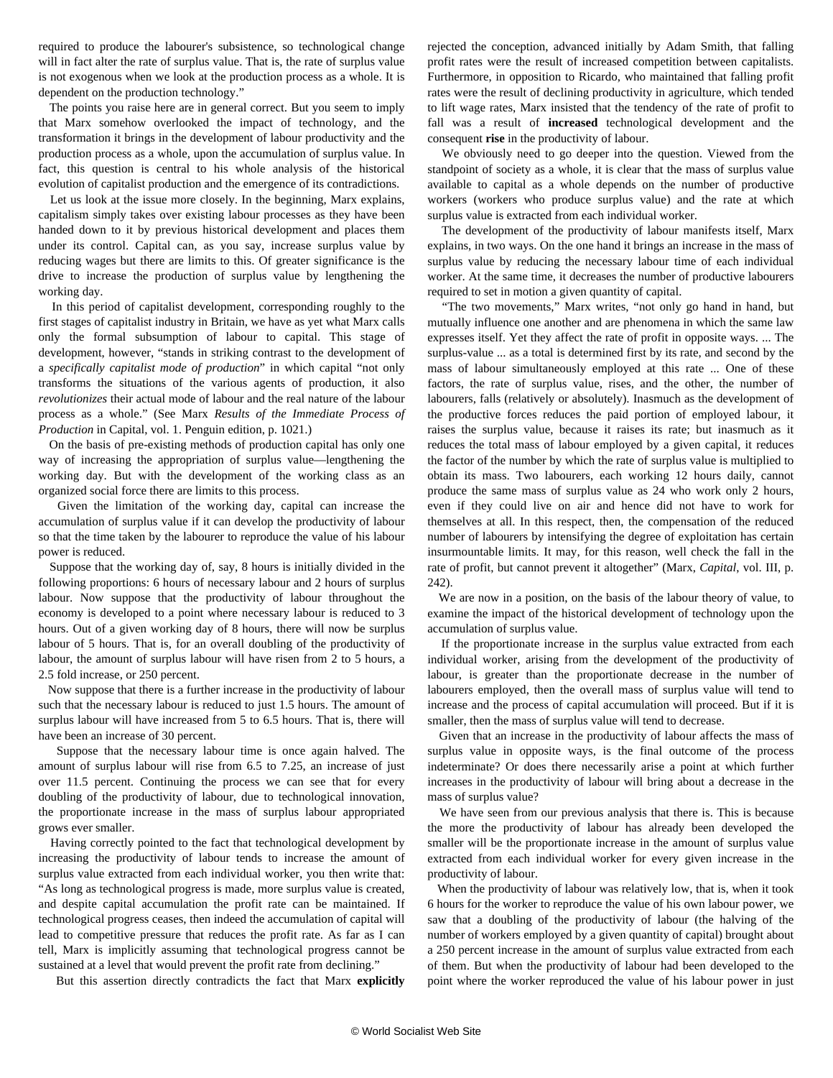required to produce the labourer's subsistence, so technological change will in fact alter the rate of surplus value. That is, the rate of surplus value is not exogenous when we look at the production process as a whole. It is dependent on the production technology."

 The points you raise here are in general correct. But you seem to imply that Marx somehow overlooked the impact of technology, and the transformation it brings in the development of labour productivity and the production process as a whole, upon the accumulation of surplus value. In fact, this question is central to his whole analysis of the historical evolution of capitalist production and the emergence of its contradictions.

 Let us look at the issue more closely. In the beginning, Marx explains, capitalism simply takes over existing labour processes as they have been handed down to it by previous historical development and places them under its control. Capital can, as you say, increase surplus value by reducing wages but there are limits to this. Of greater significance is the drive to increase the production of surplus value by lengthening the working day.

 In this period of capitalist development, corresponding roughly to the first stages of capitalist industry in Britain, we have as yet what Marx calls only the formal subsumption of labour to capital. This stage of development, however, "stands in striking contrast to the development of a *specifically capitalist mode of production*" in which capital "not only transforms the situations of the various agents of production, it also *revolutionizes* their actual mode of labour and the real nature of the labour process as a whole." (See Marx *Results of the Immediate Process of Production* in Capital, vol. 1. Penguin edition, p. 1021.)

 On the basis of pre-existing methods of production capital has only one way of increasing the appropriation of surplus value—lengthening the working day. But with the development of the working class as an organized social force there are limits to this process.

 Given the limitation of the working day, capital can increase the accumulation of surplus value if it can develop the productivity of labour so that the time taken by the labourer to reproduce the value of his labour power is reduced.

 Suppose that the working day of, say, 8 hours is initially divided in the following proportions: 6 hours of necessary labour and 2 hours of surplus labour. Now suppose that the productivity of labour throughout the economy is developed to a point where necessary labour is reduced to 3 hours. Out of a given working day of 8 hours, there will now be surplus labour of 5 hours. That is, for an overall doubling of the productivity of labour, the amount of surplus labour will have risen from 2 to 5 hours, a 2.5 fold increase, or 250 percent.

 Now suppose that there is a further increase in the productivity of labour such that the necessary labour is reduced to just 1.5 hours. The amount of surplus labour will have increased from 5 to 6.5 hours. That is, there will have been an increase of 30 percent.

 Suppose that the necessary labour time is once again halved. The amount of surplus labour will rise from 6.5 to 7.25, an increase of just over 11.5 percent. Continuing the process we can see that for every doubling of the productivity of labour, due to technological innovation, the proportionate increase in the mass of surplus labour appropriated grows ever smaller.

 Having correctly pointed to the fact that technological development by increasing the productivity of labour tends to increase the amount of surplus value extracted from each individual worker, you then write that: "As long as technological progress is made, more surplus value is created, and despite capital accumulation the profit rate can be maintained. If technological progress ceases, then indeed the accumulation of capital will lead to competitive pressure that reduces the profit rate. As far as I can tell, Marx is implicitly assuming that technological progress cannot be sustained at a level that would prevent the profit rate from declining."

But this assertion directly contradicts the fact that Marx **explicitly**

rejected the conception, advanced initially by Adam Smith, that falling profit rates were the result of increased competition between capitalists. Furthermore, in opposition to Ricardo, who maintained that falling profit rates were the result of declining productivity in agriculture, which tended to lift wage rates, Marx insisted that the tendency of the rate of profit to fall was a result of **increased** technological development and the consequent **rise** in the productivity of labour.

 We obviously need to go deeper into the question. Viewed from the standpoint of society as a whole, it is clear that the mass of surplus value available to capital as a whole depends on the number of productive workers (workers who produce surplus value) and the rate at which surplus value is extracted from each individual worker.

 The development of the productivity of labour manifests itself, Marx explains, in two ways. On the one hand it brings an increase in the mass of surplus value by reducing the necessary labour time of each individual worker. At the same time, it decreases the number of productive labourers required to set in motion a given quantity of capital.

 "The two movements," Marx writes, "not only go hand in hand, but mutually influence one another and are phenomena in which the same law expresses itself. Yet they affect the rate of profit in opposite ways. ... The surplus-value ... as a total is determined first by its rate, and second by the mass of labour simultaneously employed at this rate ... One of these factors, the rate of surplus value, rises, and the other, the number of labourers, falls (relatively or absolutely). Inasmuch as the development of the productive forces reduces the paid portion of employed labour, it raises the surplus value, because it raises its rate; but inasmuch as it reduces the total mass of labour employed by a given capital, it reduces the factor of the number by which the rate of surplus value is multiplied to obtain its mass. Two labourers, each working 12 hours daily, cannot produce the same mass of surplus value as 24 who work only 2 hours, even if they could live on air and hence did not have to work for themselves at all. In this respect, then, the compensation of the reduced number of labourers by intensifying the degree of exploitation has certain insurmountable limits. It may, for this reason, well check the fall in the rate of profit, but cannot prevent it altogether" (Marx, *Capital*, vol. III, p. 242).

 We are now in a position, on the basis of the labour theory of value, to examine the impact of the historical development of technology upon the accumulation of surplus value.

 If the proportionate increase in the surplus value extracted from each individual worker, arising from the development of the productivity of labour, is greater than the proportionate decrease in the number of labourers employed, then the overall mass of surplus value will tend to increase and the process of capital accumulation will proceed. But if it is smaller, then the mass of surplus value will tend to decrease.

 Given that an increase in the productivity of labour affects the mass of surplus value in opposite ways, is the final outcome of the process indeterminate? Or does there necessarily arise a point at which further increases in the productivity of labour will bring about a decrease in the mass of surplus value?

 We have seen from our previous analysis that there is. This is because the more the productivity of labour has already been developed the smaller will be the proportionate increase in the amount of surplus value extracted from each individual worker for every given increase in the productivity of labour.

 When the productivity of labour was relatively low, that is, when it took 6 hours for the worker to reproduce the value of his own labour power, we saw that a doubling of the productivity of labour (the halving of the number of workers employed by a given quantity of capital) brought about a 250 percent increase in the amount of surplus value extracted from each of them. But when the productivity of labour had been developed to the point where the worker reproduced the value of his labour power in just